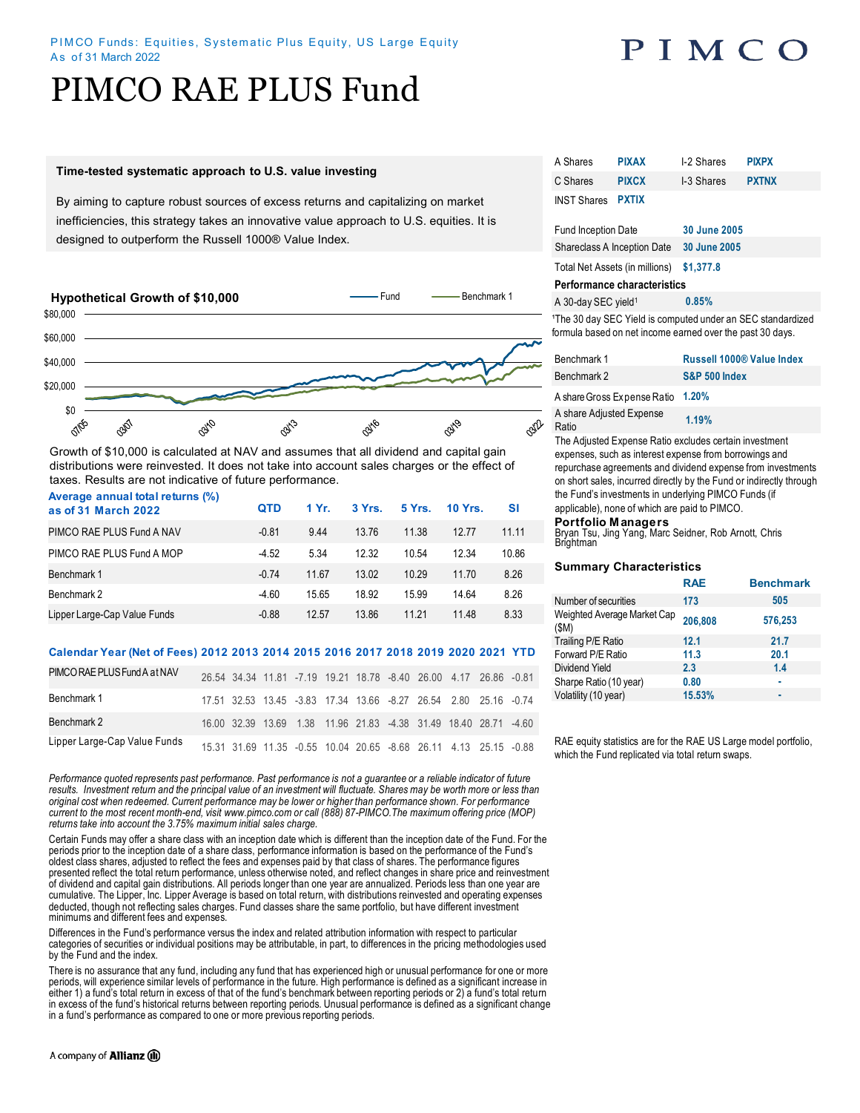## PIMCO

# PIMCO RAE PLUS Fund

#### **Time-tested systematic approach to U.S. value investing**

By aiming to capture robust sources of excess returns and capitalizing on market inefficiencies, this strategy takes an innovative value approach to U.S. equities. It is designed to outperform the Russell 1000® Value Index.



Growth of \$10,000 is calculated at NAV and assumes that all dividend and capital gain distributions were reinvested. It does not take into account sales charges or the effect of taxes. Results are not indicative of future performance. **Average annual total returns (%)** 

| Average annual total returns (70)<br>as of 31 March 2022 | <b>QTD</b> | 1 Yr. | 3 Yrs. | 5 Yrs. | <b>10 Yrs.</b> | SI    |
|----------------------------------------------------------|------------|-------|--------|--------|----------------|-------|
| PIMCO RAE PLUS Fund A NAV                                | $-0.81$    | 9.44  | 13.76  | 11.38  | 12.77          | 11.11 |
| PIMCO RAE PLUS Fund A MOP                                | $-4.52$    | 5.34  | 12.32  | 10.54  | 12.34          | 10.86 |
| Benchmark 1                                              | $-0.74$    | 11.67 | 13.02  | 10.29  | 11.70          | 8.26  |
| Benchmark 2                                              | $-4.60$    | 15.65 | 18.92  | 15.99  | 14.64          | 8.26  |
| Lipper Large-Cap Value Funds                             | $-0.88$    | 12.57 | 13.86  | 11.21  | 11.48          | 8.33  |

### **Calendar Year (Net of Fees) 2012 2013 2014 2015 2016 2017 2018 2019 2020 2021 YTD**

| PIMCO RAE PLUS Fund A at NAV |  |  |  |  | 26.54 34.34 11.81 -7.19 19.21 18.78 -8.40 26.00 4.17 26.86 -0.81 |  |
|------------------------------|--|--|--|--|------------------------------------------------------------------|--|
| Benchmark 1                  |  |  |  |  | 17.51 32.53 13.45 -3.83 17.34 13.66 -8.27 26.54 2.80 25.16 -0.74 |  |
| Benchmark 2                  |  |  |  |  | 16.00 32.39 13.69 1.38 11.96 21.83 -4.38 31.49 18.40 28.71 -4.60 |  |
| Lipper Large-Cap Value Funds |  |  |  |  | 15.31 31.69 11.35 -0.55 10.04 20.65 -8.68 26.11 4.13 25.15 -0.88 |  |

*Performance quoted represents past performance. Past performance is not a guarantee or a reliable indicator of future*  results. Investment return and the principal value of an investment will fluctuate. Shares may be worth more or less than *original cost when redeemed. Current performance may be lower or higher than performance shown. For performance current to the most recent month-end, visit www.pimco.com or call (888) 87-PIMCO.The maximum offering price (MOP) returns take into account the 3.75% maximum initial sales charge.*

Certain Funds may offer a share class with an inception date which is different than the inception date of the Fund. For the periods prior to the inception date of a share class, performance information is based on the performance of the Fund's oldest class shares, adjusted to reflect the fees and expenses paid by that class of shares. The performance figures presented reflect the total return performance, unless otherwise noted, and reflect changes in share price and reinvestment of dividend and capital gain distributions. All periods longer than one year are annualized. Periods less than one year are cumulative. The Lipper, Inc. Lipper Average is based on total return, with distributions reinvested and operating expenses deducted, though not reflecting sales charges. Fund classes share the same portfolio, but have different investment minimums and different fees and expenses.

Differences in the Fund's performance versus the index and related attribution information with respect to particular categories of securities or individual positions may be attributable, in part, to differences in the pricing methodologies used by the Fund and the index.

There is no assurance that any fund, including any fund that has experienced high or unusual performance for one or more periods, will experience similar levels of performance in the future. High performance is defined as a significant increase in either 1) a fund's total return in excess of that of the fund's benchmark between reporting periods or 2) a fund's total return in excess of the fund's historical returns between reporting periods. Unusual performance is defined as a significant change in a fund's performance as compared to one or more previous reporting periods.

| A Shares                       | <b>PIXAX</b> | I-2 Shares   | <b>PIXPX</b> |  |
|--------------------------------|--------------|--------------|--------------|--|
| C Shares                       | <b>PIXCX</b> | I-3 Shares   | <b>PXTNX</b> |  |
| <b>INST Shares</b>             | <b>PXTIX</b> |              |              |  |
|                                |              |              |              |  |
| <b>Fund Inception Date</b>     |              | 30 June 2005 |              |  |
| Shareclass A Inception Date    |              | 30 June 2005 |              |  |
| Total Net Assets (in millions) |              | \$1,377.8    |              |  |

## **Performance characteristics**

A 30-day SEC yield<sup>1</sup>**0.85%**

<sup>1</sup>The 30 day SEC Yield is computed under an SEC standardized formula based on net income earned over the past 30 days.

| Benchmark 1                       | Russell 1000® Value Index |
|-----------------------------------|---------------------------|
| Benchmark 2                       | <b>S&amp;P 500 Index</b>  |
| A share Gross Expense Ratio 1.20% |                           |
| A share Adjusted Expense<br>Ratio | 1.19%                     |

The Adjusted Expense Ratio excludes certain investment expenses, such as interest expense from borrowings and repurchase agreements and dividend expense from investments on short sales, incurred directly by the Fund or indirectly through the Fund's investments in underlying PIMCO Funds (if applicable), none of which are paid to PIMCO.

## **Portfolio Managers**

Bryan Tsu, Jing Yang, Marc Seidner, Rob Arnott, Chris Brightman

### **Summary Characteristics**

| <b>RAE</b> | <b>Benchmark</b> |
|------------|------------------|
| 173        | 505              |
| 206.808    | 576,253          |
| 12.1       | 21.7             |
| 11.3       | 20.1             |
| 2.3        | 1.4              |
| 0.80       | ۰                |
| 15.53%     |                  |
|            |                  |

RAE equity statistics are for the RAE US Large model portfolio, which the Fund replicated via total return swaps.